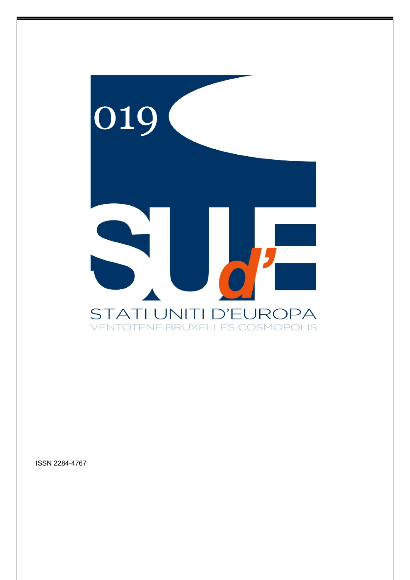

ISSN 2284-4767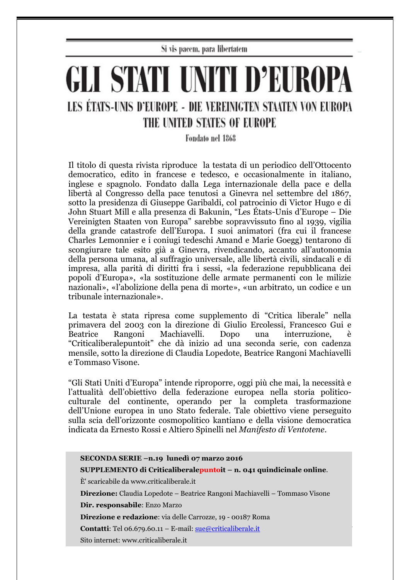Si vis pacem, para libertatem

## GLI STATI UNITI D'EUROPA LES ÉTATS-UNIS D'EUROPE - DIE VEREINIGTEN STAATEN VON EUROPA THE UNITED STATES OF EUROPE

Fondato nel 1868

Il titolo di questa rivista riproduce la testata di un periodico dell'Ottocento democratico, edito in francese e tedesco, e occasionalmente in italiano, inglese e spagnolo. Fondato dalla Lega internazionale della pace e della libertà al Congresso della pace tenutosi a Ginevra nel settembre del 1867, sotto la presidenza di Giuseppe Garibaldi, col patrocinio di Victor Hugo e di John Stuart Mill e alla presenza di Bakunin, "Les États-Unis d'Europe – Die Vereinigten Staaten von Europa" sarebbe sopravvissuto fino al 1939, vigilia della grande catastrofe dell'Europa. I suoi animatori (fra cui il francese Charles Lemonnier e i coniugi tedeschi Amand e Marie Goegg) tentarono di scongiurare tale esito già a Ginevra, rivendicando, accanto all'autonomia della persona umana, al suffragio universale, alle libertà civili, sindacali e di impresa, alla parità di diritti fra i sessi, «la federazione repubblicana dei popoli d'Europa», «la sostituzione delle armate permanenti con le milizie nazionali», «l'abolizione della pena di morte», «un arbitrato, un codice e un tribunale internazionale».

La testata è stata ripresa come supplemento di "Critica liberale" nella primavera del 2003 con la direzione di Giulio Ercolessi, Francesco Gui e Beatrice Rangoni Machiavelli. Dopo una interruzione, è "Criticaliberalepuntoit" che dà inizio ad una seconda serie, con cadenza mensile, sotto la direzione di Claudia Lopedote, Beatrice Rangoni Machiavelli e Tommaso Visone.

"Gli Stati Uniti d'Europa" intende riproporre, oggi più che mai, la necessità e l'attualità dell'obiettivo della federazione europea nella storia politicoculturale del continente, operando per la completa trasformazione dell'Unione europea in uno Stato federale. Tale obiettivo viene perseguito sulla scia dell'orizzonte cosmopolitico kantiano e della visione democratica indicata da Ernesto Rossi e Altiero Spinelli nel *Manifesto di Ventotene*.

| SECONDA SERIE -n.19 lunedì 07 marzo 2016                                         |
|----------------------------------------------------------------------------------|
| $\bf SUPPLEMENTO$ di Criticaliberalepuntoit – n. 041 quindicinale online.        |
| E' scaricabile da www.criticaliberale.it                                         |
| Direzione: Claudia Lopedote – Beatrice Rangoni Machiavelli – Tommaso Visone      |
| Dir. responsabile: Enzo Marzo                                                    |
| Direzione e redazione: via delle Carrozze, 19 - 00187 Roma                       |
| <b>Contatti:</b> Tel 06.679.60.11 – E-mail: $\frac{\text{sue}}{\text{cortical}}$ |
| Sito internet: www.criticaliberale.it                                            |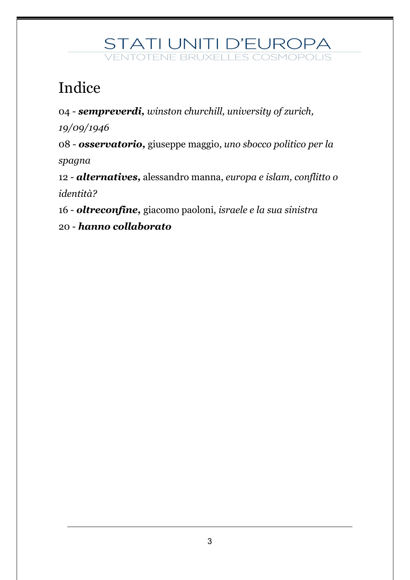### Indice

04 - *sempreverdi, winston churchill, university of zurich,* 

*19/09/1946*

08 - *osservatorio,* giuseppe maggio, *uno sbocco politico per la spagna*

12 - *alternatives,* alessandro manna, *europa e islam, conflitto o identità?* 

16 - *oltreconfine,* giacomo paoloni, *israele e la sua sinistra*

20 - *hanno collaborato*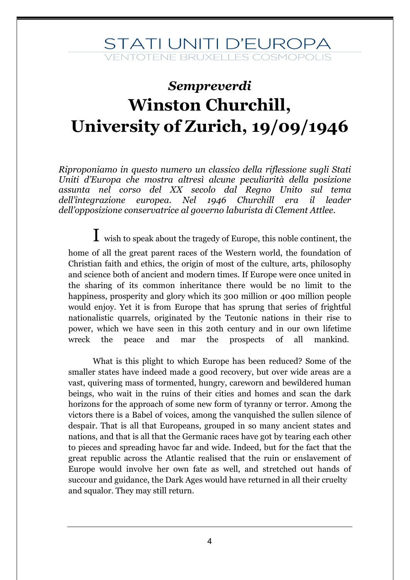### *Sempreverdi* **Winston Churchill, University of Zurich, 19/09/1946**

*Riproponiamo in questo numero un classico della riflessione sugli Stati Uniti d'Europa che mostra altresì alcune peculiarità della posizione assunta nel corso del XX secolo dal Regno Unito sul tema dell'integrazione europea. Nel 1946 Churchill era il leader dell'opposizione conservatrice al governo laburista di Clement Attlee.*

 $I$  wish to speak about the tragedy of Europe, this noble continent, the home of all the great parent races of the Western world, the foundation of Christian faith and ethics, the origin of most of the culture, arts, philosophy and science both of ancient and modern times. If Europe were once united in the sharing of its common inheritance there would be no limit to the happiness, prosperity and glory which its 300 million or 400 million people would enjoy. Yet it is from Europe that has sprung that series of frightful nationalistic quarrels, originated by the Teutonic nations in their rise to power, which we have seen in this 20th century and in our own lifetime wreck the peace and mar the prospects of all mankind.

 What is this plight to which Europe has been reduced? Some of the smaller states have indeed made a good recovery, but over wide areas are a vast, quivering mass of tormented, hungry, careworn and bewildered human beings, who wait in the ruins of their cities and homes and scan the dark horizons for the approach of some new form of tyranny or terror. Among the victors there is a Babel of voices, among the vanquished the sullen silence of despair. That is all that Europeans, grouped in so many ancient states and nations, and that is all that the Germanic races have got by tearing each other to pieces and spreading havoc far and wide. Indeed, but for the fact that the great republic across the Atlantic realised that the ruin or enslavement of Europe would involve her own fate as well, and stretched out hands of succour and guidance, the Dark Ages would have returned in all their cruelty and squalor. They may still return.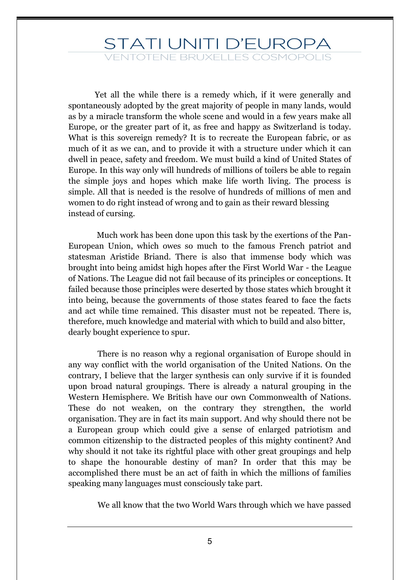Yet all the while there is a remedy which, if it were generally and spontaneously adopted by the great majority of people in many lands, would as by a miracle transform the whole scene and would in a few years make all Europe, or the greater part of it, as free and happy as Switzerland is today. What is this sovereign remedy? It is to recreate the European fabric, or as much of it as we can, and to provide it with a structure under which it can dwell in peace, safety and freedom. We must build a kind of United States of Europe. In this way only will hundreds of millions of toilers be able to regain the simple joys and hopes which make life worth living. The process is simple. All that is needed is the resolve of hundreds of millions of men and women to do right instead of wrong and to gain as their reward blessing instead of cursing.

 Much work has been done upon this task by the exertions of the Pan-European Union, which owes so much to the famous French patriot and statesman Aristide Briand. There is also that immense body which was brought into being amidst high hopes after the First World War - the League of Nations. The League did not fail because of its principles or conceptions. It failed because those principles were deserted by those states which brought it into being, because the governments of those states feared to face the facts and act while time remained. This disaster must not be repeated. There is, therefore, much knowledge and material with which to build and also bitter, dearly bought experience to spur.

There is no reason why a regional organisation of Europe should in any way conflict with the world organisation of the United Nations. On the contrary, I believe that the larger synthesis can only survive if it is founded upon broad natural groupings. There is already a natural grouping in the Western Hemisphere. We British have our own Commonwealth of Nations. These do not weaken, on the contrary they strengthen, the world organisation. They are in fact its main support. And why should there not be a European group which could give a sense of enlarged patriotism and common citizenship to the distracted peoples of this mighty continent? And why should it not take its rightful place with other great groupings and help to shape the honourable destiny of man? In order that this may be accomplished there must be an act of faith in which the millions of families speaking many languages must consciously take part.

We all know that the two World Wars through which we have passed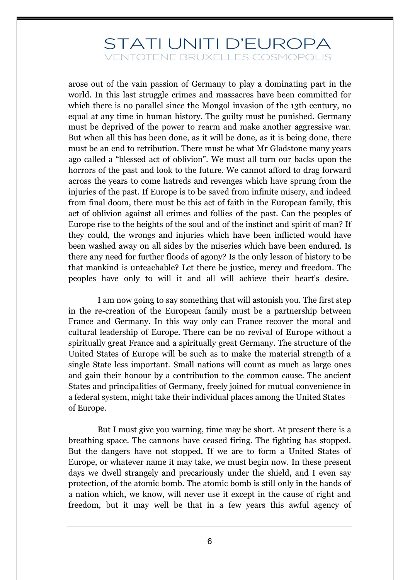### STATI UNITI D'EUROPA

**ENTOTENE BRUXELLES COSMOPOLIS** 

arose out of the vain passion of Germany to play a dominating part in the world. In this last struggle crimes and massacres have been committed for which there is no parallel since the Mongol invasion of the 13th century, no equal at any time in human history. The guilty must be punished. Germany must be deprived of the power to rearm and make another aggressive war. But when all this has been done, as it will be done, as it is being done, there must be an end to retribution. There must be what Mr Gladstone many years ago called a "blessed act of oblivion". We must all turn our backs upon the horrors of the past and look to the future. We cannot afford to drag forward across the years to come hatreds and revenges which have sprung from the injuries of the past. If Europe is to be saved from infinite misery, and indeed from final doom, there must be this act of faith in the European family, this act of oblivion against all crimes and follies of the past. Can the peoples of Europe rise to the heights of the soul and of the instinct and spirit of man? If they could, the wrongs and injuries which have been inflicted would have been washed away on all sides by the miseries which have been endured. Is there any need for further floods of agony? Is the only lesson of history to be that mankind is unteachable? Let there be justice, mercy and freedom. The peoples have only to will it and all will achieve their heart's desire.

I am now going to say something that will astonish you. The first step in the re-creation of the European family must be a partnership between France and Germany. In this way only can France recover the moral and cultural leadership of Europe. There can be no revival of Europe without a spiritually great France and a spiritually great Germany. The structure of the United States of Europe will be such as to make the material strength of a single State less important. Small nations will count as much as large ones and gain their honour by a contribution to the common cause. The ancient States and principalities of Germany, freely joined for mutual convenience in a federal system, might take their individual places among the United States of Europe.

But I must give you warning, time may be short. At present there is a breathing space. The cannons have ceased firing. The fighting has stopped. But the dangers have not stopped. If we are to form a United States of Europe, or whatever name it may take, we must begin now. In these present days we dwell strangely and precariously under the shield, and I even say protection, of the atomic bomb. The atomic bomb is still only in the hands of a nation which, we know, will never use it except in the cause of right and freedom, but it may well be that in a few years this awful agency of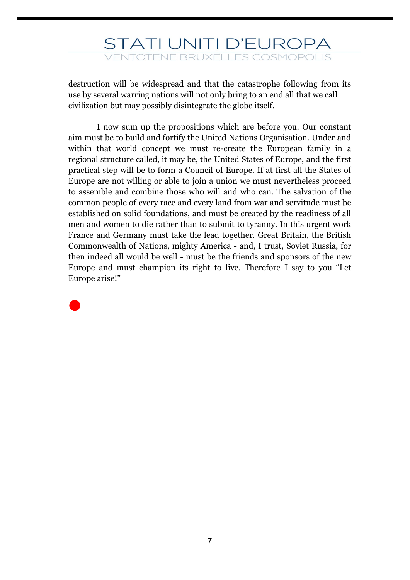destruction will be widespread and that the catastrophe following from its use by several warring nations will not only bring to an end all that we call civilization but may possibly disintegrate the globe itself.

 I now sum up the propositions which are before you. Our constant aim must be to build and fortify the United Nations Organisation. Under and within that world concept we must re-create the European family in a regional structure called, it may be, the United States of Europe, and the first practical step will be to form a Council of Europe. If at first all the States of Europe are not willing or able to join a union we must nevertheless proceed to assemble and combine those who will and who can. The salvation of the common people of every race and every land from war and servitude must be established on solid foundations, and must be created by the readiness of all men and women to die rather than to submit to tyranny. In this urgent work France and Germany must take the lead together. Great Britain, the British Commonwealth of Nations, mighty America - and, I trust, Soviet Russia, for then indeed all would be well - must be the friends and sponsors of the new Europe and must champion its right to live. Therefore I say to you "Let Europe arise!"



7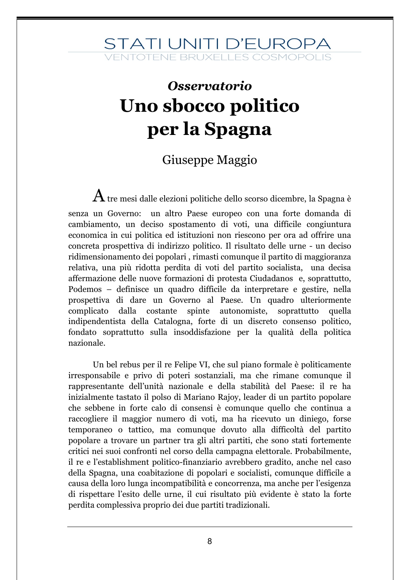### *Osservatorio* **Uno sbocco politico per la Spagna**

#### Giuseppe Maggio

 ${\bf A}$  tre mesi dalle elezioni politiche dello scorso dicembre, la Spagna è senza un Governo: un altro Paese europeo con una forte domanda di cambiamento, un deciso spostamento di voti, una difficile congiuntura economica in cui politica ed istituzioni non riescono per ora ad offrire una concreta prospettiva di indirizzo politico. Il risultato delle urne - un deciso ridimensionamento dei popolari , rimasti comunque il partito di maggioranza relativa, una più ridotta perdita di voti del partito socialista, una decisa affermazione delle nuove formazioni di protesta Ciudadanos e, soprattutto, Podemos – definisce un quadro difficile da interpretare e gestire, nella prospettiva di dare un Governo al Paese. Un quadro ulteriormente complicato dalla costante spinte autonomiste, soprattutto quella indipendentista della Catalogna, forte di un discreto consenso politico, fondato soprattutto sulla insoddisfazione per la qualità della politica nazionale.

Un bel rebus per il re Felipe VI, che sul piano formale è politicamente irresponsabile e privo di poteri sostanziali, ma che rimane comunque il rappresentante dell'unità nazionale e della stabilità del Paese: il re ha inizialmente tastato il polso di Mariano Rajoy, leader di un partito popolare che sebbene in forte calo di consensi è comunque quello che continua a raccogliere il maggior numero di voti, ma ha ricevuto un diniego, forse temporaneo o tattico, ma comunque dovuto alla difficoltà del partito popolare a trovare un partner tra gli altri partiti, che sono stati fortemente critici nei suoi confronti nel corso della campagna elettorale. Probabilmente, il re e l'establishment politico-finanziario avrebbero gradito, anche nel caso della Spagna, una coabitazione di popolari e socialisti, comunque difficile a causa della loro lunga incompatibilità e concorrenza, ma anche per l'esigenza di rispettare l'esito delle urne, il cui risultato più evidente è stato la forte perdita complessiva proprio dei due partiti tradizionali.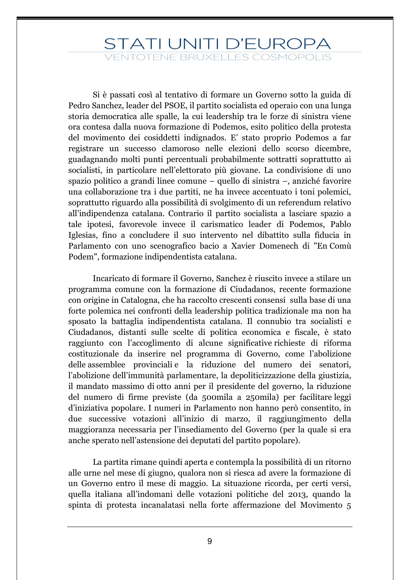Si è passati così al tentativo di formare un Governo sotto la guida di Pedro Sanchez, leader del PSOE, il partito socialista ed operaio con una lunga storia democratica alle spalle, la cui leadership tra le forze di sinistra viene ora contesa dalla nuova formazione di Podemos, esito politico della protesta del movimento dei cosiddetti indignados. E' stato proprio Podemos a far registrare un successo clamoroso nelle elezioni dello scorso dicembre, guadagnando molti punti percentuali probabilmente sottratti soprattutto ai socialisti, in particolare nell'elettorato più giovane. La condivisione di uno spazio politico a grandi linee comune – quello di sinistra –, anziché favorire una collaborazione tra i due partiti, ne ha invece accentuato i toni polemici, soprattutto riguardo alla possibilità di svolgimento di un referendum relativo all'indipendenza catalana. Contrario il partito socialista a lasciare spazio a tale ipotesi, favorevole invece il carismatico leader di Podemos, Pablo Iglesias, fino a concludere il suo intervento nel dibattito sulla fiducia in Parlamento con uno scenografico bacio a Xavier Domenech di "En Comù Podem", formazione indipendentista catalana.

Incaricato di formare il Governo, Sanchez è riuscito invece a stilare un programma comune con la formazione di Ciudadanos, recente formazione con origine in Catalogna, che ha raccolto crescenti consensi sulla base di una forte polemica nei confronti della leadership politica tradizionale ma non ha sposato la battaglia indipendentista catalana. Il connubio tra socialisti e Ciudadanos, distanti sulle scelte di politica economica e fiscale, è stato raggiunto con l'accoglimento di alcune significative richieste di riforma costituzionale da inserire nel programma di Governo, come l'abolizione delle assemblee provinciali e la riduzione del numero dei senatori, l'abolizione dell'immunità parlamentare, la depoliticizzazione della giustizia, il mandato massimo di otto anni per il presidente del governo, la riduzione del numero di firme previste (da 500mila a 250mila) per facilitare leggi d'iniziativa popolare. I numeri in Parlamento non hanno però consentito, in due successive votazioni all'inizio di marzo, il raggiungimento della maggioranza necessaria per l'insediamento del Governo (per la quale si era anche sperato nell'astensione dei deputati del partito popolare).

La partita rimane quindi aperta e contempla la possibilità di un ritorno alle urne nel mese di giugno, qualora non si riesca ad avere la formazione di un Governo entro il mese di maggio. La situazione ricorda, per certi versi, quella italiana all'indomani delle votazioni politiche del 2013, quando la spinta di protesta incanalatasi nella forte affermazione del Movimento 5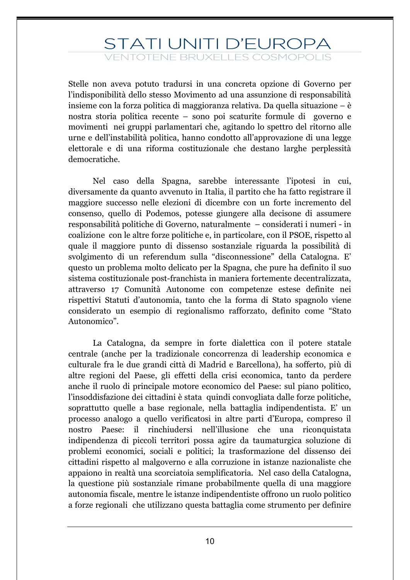Stelle non aveva potuto tradursi in una concreta opzione di Governo per l'indisponibilità dello stesso Movimento ad una assunzione di responsabilità insieme con la forza politica di maggioranza relativa. Da quella situazione – è nostra storia politica recente – sono poi scaturite formule di governo e movimenti nei gruppi parlamentari che, agitando lo spettro del ritorno alle urne e dell'instabilità politica, hanno condotto all'approvazione di una legge elettorale e di una riforma costituzionale che destano larghe perplessità democratiche.

Nel caso della Spagna, sarebbe interessante l'ipotesi in cui, diversamente da quanto avvenuto in Italia, il partito che ha fatto registrare il maggiore successo nelle elezioni di dicembre con un forte incremento del consenso, quello di Podemos, potesse giungere alla decisone di assumere responsabilità politiche di Governo, naturalmente – considerati i numeri - in coalizione con le altre forze politiche e, in particolare, con il PSOE, rispetto al quale il maggiore punto di dissenso sostanziale riguarda la possibilità di svolgimento di un referendum sulla "disconnessione" della Catalogna. E' questo un problema molto delicato per la Spagna, che pure ha definito il suo sistema costituzionale post-franchista in maniera fortemente decentralizzata, attraverso 17 Comunità Autonome con competenze estese definite nei rispettivi Statuti d'autonomia, tanto che la forma di Stato spagnolo viene considerato un esempio di regionalismo rafforzato, definito come "Stato Autonomico".

La Catalogna, da sempre in forte dialettica con il potere statale centrale (anche per la tradizionale concorrenza di leadership economica e culturale fra le due grandi città di Madrid e Barcellona), ha sofferto, più di altre regioni del Paese, gli effetti della crisi economica, tanto da perdere anche il ruolo di principale motore economico del Paese: sul piano politico, l'insoddisfazione dei cittadini è stata quindi convogliata dalle forze politiche, soprattutto quelle a base regionale, nella battaglia indipendentista. E' un processo analogo a quello verificatosi in altre parti d'Europa, compreso il nostro Paese: il rinchiudersi nell'illusione che una riconquistata indipendenza di piccoli territori possa agire da taumaturgica soluzione di problemi economici, sociali e politici; la trasformazione del dissenso dei cittadini rispetto al malgoverno e alla corruzione in istanze nazionaliste che appaiono in realtà una scorciatoia semplificatoria. Nel caso della Catalogna, la questione più sostanziale rimane probabilmente quella di una maggiore autonomia fiscale, mentre le istanze indipendentiste offrono un ruolo politico a forze regionali che utilizzano questa battaglia come strumento per definire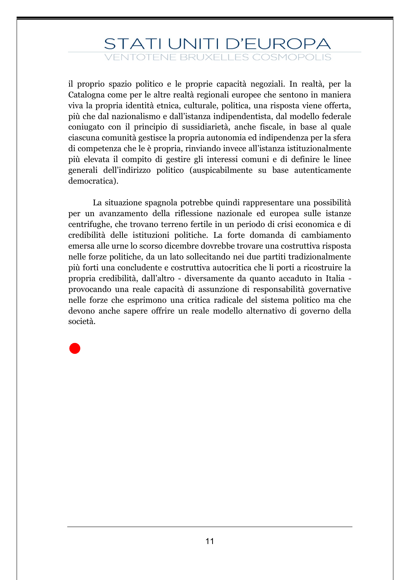il proprio spazio politico e le proprie capacità negoziali. In realtà, per la Catalogna come per le altre realtà regionali europee che sentono in maniera viva la propria identità etnica, culturale, politica, una risposta viene offerta, più che dal nazionalismo e dall'istanza indipendentista, dal modello federale coniugato con il principio di sussidiarietà, anche fiscale, in base al quale ciascuna comunità gestisce la propria autonomia ed indipendenza per la sfera di competenza che le è propria, rinviando invece all'istanza istituzionalmente più elevata il compito di gestire gli interessi comuni e di definire le linee generali dell'indirizzo politico (auspicabilmente su base autenticamente democratica).

La situazione spagnola potrebbe quindi rappresentare una possibilità per un avanzamento della riflessione nazionale ed europea sulle istanze centrifughe, che trovano terreno fertile in un periodo di crisi economica e di credibilità delle istituzioni politiche. La forte domanda di cambiamento emersa alle urne lo scorso dicembre dovrebbe trovare una costruttiva risposta nelle forze politiche, da un lato sollecitando nei due partiti tradizionalmente più forti una concludente e costruttiva autocritica che li porti a ricostruire la propria credibilità, dall'altro - diversamente da quanto accaduto in Italia provocando una reale capacità di assunzione di responsabilità governative nelle forze che esprimono una critica radicale del sistema politico ma che devono anche sapere offrire un reale modello alternativo di governo della società.

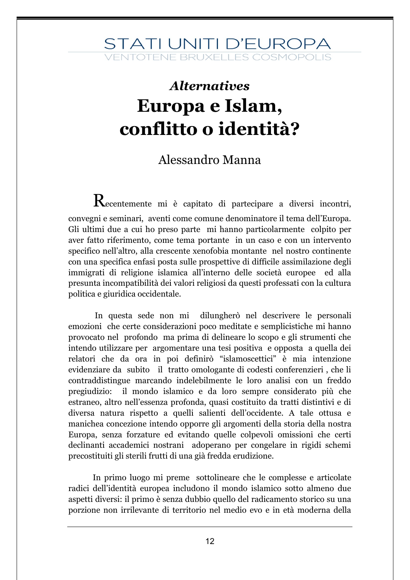### *Alternatives* **Europa e Islam, conflitto o identità?**

#### Alessandro Manna

Recentemente mi è capitato di partecipare a diversi incontri, convegni e seminari, aventi come comune denominatore il tema dell'Europa. Gli ultimi due a cui ho preso parte mi hanno particolarmente colpito per aver fatto riferimento, come tema portante in un caso e con un intervento specifico nell'altro, alla crescente xenofobia montante nel nostro continente con una specifica enfasi posta sulle prospettive di difficile assimilazione degli immigrati di religione islamica all'interno delle società europee ed alla presunta incompatibilità dei valori religiosi da questi professati con la cultura politica e giuridica occidentale.

In questa sede non mi dilungherò nel descrivere le personali emozioni che certe considerazioni poco meditate e semplicistiche mi hanno provocato nel profondo ma prima di delineare lo scopo e gli strumenti che intendo utilizzare per argomentare una tesi positiva e opposta a quella dei relatori che da ora in poi definirò "islamoscettici" è mia intenzione evidenziare da subito il tratto omologante di codesti conferenzieri , che li contraddistingue marcando indelebilmente le loro analisi con un freddo pregiudizio: il mondo islamico e da loro sempre considerato più che estraneo, altro nell'essenza profonda, quasi costituito da tratti distintivi e di diversa natura rispetto a quelli salienti dell'occidente. A tale ottusa e manichea concezione intendo opporre gli argomenti della storia della nostra Europa, senza forzature ed evitando quelle colpevoli omissioni che certi declinanti accademici nostrani adoperano per congelare in rigidi schemi precostituiti gli sterili frutti di una già fredda erudizione.

In primo luogo mi preme sottolineare che le complesse e articolate radici dell'identità europea includono il mondo islamico sotto almeno due aspetti diversi: il primo è senza dubbio quello del radicamento storico su una porzione non irrilevante di territorio nel medio evo e in età moderna della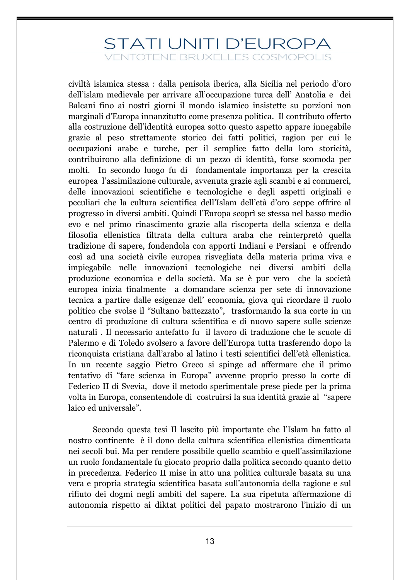## STATI UNITI D'EUROPA

**ENTOTENE BRUXELLES COSMOPOLIS** 

civiltà islamica stessa : dalla penisola iberica, alla Sicilia nel periodo d'oro dell'islam medievale per arrivare all'occupazione turca dell' Anatolia e dei Balcani fino ai nostri giorni il mondo islamico insistette su porzioni non marginali d'Europa innanzitutto come presenza politica. Il contributo offerto alla costruzione dell'identità europea sotto questo aspetto appare innegabile grazie al peso strettamente storico dei fatti politici, ragion per cui le occupazioni arabe e turche, per il semplice fatto della loro storicità, contribuirono alla definizione di un pezzo di identità, forse scomoda per molti. In secondo luogo fu di fondamentale importanza per la crescita europea l'assimilazione culturale, avvenuta grazie agli scambi e ai commerci, delle innovazioni scientifiche e tecnologiche e degli aspetti originali e peculiari che la cultura scientifica dell'Islam dell'età d'oro seppe offrire al progresso in diversi ambiti. Quindi l'Europa scoprì se stessa nel basso medio evo e nel primo rinascimento grazie alla riscoperta della scienza e della filosofia ellenistica filtrata della cultura araba che reinterpretò quella tradizione di sapere, fondendola con apporti Indiani e Persiani e offrendo così ad una società civile europea risvegliata della materia prima viva e impiegabile nelle innovazioni tecnologiche nei diversi ambiti della produzione economica e della società. Ma se è pur vero che la società europea inizia finalmente a domandare scienza per sete di innovazione tecnica a partire dalle esigenze dell' economia, giova qui ricordare il ruolo politico che svolse il "Sultano battezzato", trasformando la sua corte in un centro di produzione di cultura scientifica e di nuovo sapere sulle scienze naturali . Il necessario antefatto fu il lavoro di traduzione che le scuole di Palermo e di Toledo svolsero a favore dell'Europa tutta trasferendo dopo la riconquista cristiana dall'arabo al latino i testi scientifici dell'età ellenistica. In un recente saggio Pietro Greco si spinge ad affermare che il primo tentativo di "fare scienza in Europa" avvenne proprio presso la corte di Federico II di Svevia, dove il metodo sperimentale prese piede per la prima volta in Europa, consentendole di costruirsi la sua identità grazie al "sapere laico ed universale".

Secondo questa tesi Il lascito più importante che l'Islam ha fatto al nostro continente è il dono della cultura scientifica ellenistica dimenticata nei secoli bui. Ma per rendere possibile quello scambio e quell'assimilazione un ruolo fondamentale fu giocato proprio dalla politica secondo quanto detto in precedenza. Federico II mise in atto una politica culturale basata su una vera e propria strategia scientifica basata sull'autonomia della ragione e sul rifiuto dei dogmi negli ambiti del sapere. La sua ripetuta affermazione di autonomia rispetto ai diktat politici del papato mostrarono l'inizio di un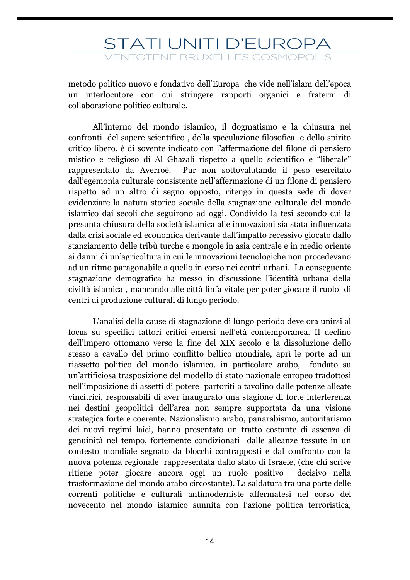metodo politico nuovo e fondativo dell'Europa che vide nell'islam dell'epoca un interlocutore con cui stringere rapporti organici e fraterni di collaborazione politico culturale.

All'interno del mondo islamico, il dogmatismo e la chiusura nei confronti del sapere scientifico , della speculazione filosofica e dello spirito critico libero, è di sovente indicato con l'affermazione del filone di pensiero mistico e religioso di Al Ghazali rispetto a quello scientifico e "liberale" rappresentato da Averroè. Pur non sottovalutando il peso esercitato dall'egemonia culturale consistente nell'affermazione di un filone di pensiero rispetto ad un altro di segno opposto, ritengo in questa sede di dover evidenziare la natura storico sociale della stagnazione culturale del mondo islamico dai secoli che seguirono ad oggi. Condivido la tesi secondo cui la presunta chiusura della società islamica alle innovazioni sia stata influenzata dalla crisi sociale ed economica derivante dall'impatto recessivo giocato dallo stanziamento delle tribù turche e mongole in asia centrale e in medio oriente ai danni di un'agricoltura in cui le innovazioni tecnologiche non procedevano ad un ritmo paragonabile a quello in corso nei centri urbani. La conseguente stagnazione demografica ha messo in discussione l'identità urbana della civiltà islamica , mancando alle città linfa vitale per poter giocare il ruolo di centri di produzione culturali di lungo periodo.

L'analisi della cause di stagnazione di lungo periodo deve ora unirsi al focus su specifici fattori critici emersi nell'età contemporanea. Il declino dell'impero ottomano verso la fine del XIX secolo e la dissoluzione dello stesso a cavallo del primo conflitto bellico mondiale, aprì le porte ad un riassetto politico del mondo islamico, in particolare arabo, fondato su un'artificiosa trasposizione del modello di stato nazionale europeo tradottosi nell'imposizione di assetti di potere partoriti a tavolino dalle potenze alleate vincitrici, responsabili di aver inaugurato una stagione di forte interferenza nei destini geopolitici dell'area non sempre supportata da una visione strategica forte e coerente. Nazionalismo arabo, panarabismo, autoritarismo dei nuovi regimi laici, hanno presentato un tratto costante di assenza di genuinità nel tempo, fortemente condizionati dalle alleanze tessute in un contesto mondiale segnato da blocchi contrapposti e dal confronto con la nuova potenza regionale rappresentata dallo stato di Israele, (che chi scrive ritiene poter giocare ancora oggi un ruolo positivo decisivo nella trasformazione del mondo arabo circostante). La saldatura tra una parte delle correnti politiche e culturali antimoderniste affermatesi nel corso del novecento nel mondo islamico sunnita con l'azione politica terroristica,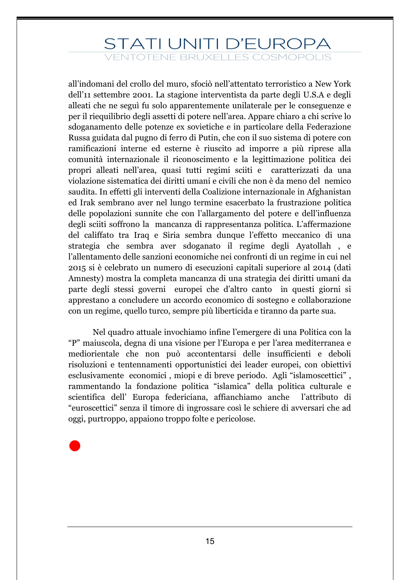all'indomani del crollo del muro, sfociò nell'attentato terroristico a New York dell'11 settembre 2001. La stagione interventista da parte degli U.S.A e degli alleati che ne seguì fu solo apparentemente unilaterale per le conseguenze e per il riequilibrio degli assetti di potere nell'area. Appare chiaro a chi scrive lo sdoganamento delle potenze ex sovietiche e in particolare della Federazione Russa guidata dal pugno di ferro di Putin, che con il suo sistema di potere con ramificazioni interne ed esterne è riuscito ad imporre a più riprese alla comunità internazionale il riconoscimento e la legittimazione politica dei propri alleati nell'area, quasi tutti regimi sciiti e caratterizzati da una violazione sistematica dei diritti umani e civili che non è da meno del nemico saudita. In effetti gli interventi della Coalizione internazionale in Afghanistan ed Irak sembrano aver nel lungo termine esacerbato la frustrazione politica delle popolazioni sunnite che con l'allargamento del potere e dell'influenza degli sciiti soffrono la mancanza di rappresentanza politica. L'affermazione del califfato tra Iraq e Siria sembra dunque l'effetto meccanico di una strategia che sembra aver sdoganato il regime degli Ayatollah , e l'allentamento delle sanzioni economiche nei confronti di un regime in cui nel 2015 si è celebrato un numero di esecuzioni capitali superiore al 2014 (dati Amnesty) mostra la completa mancanza di una strategia dei diritti umani da parte degli stessi governi europei che d'altro canto in questi giorni si apprestano a concludere un accordo economico di sostegno e collaborazione con un regime, quello turco, sempre più liberticida e tiranno da parte sua.

Nel quadro attuale invochiamo infine l'emergere di una Politica con la "P" maiuscola, degna di una visione per l'Europa e per l'area mediterranea e mediorientale che non può accontentarsi delle insufficienti e deboli risoluzioni e tentennamenti opportunistici dei leader europei, con obiettivi esclusivamente economici , miopi e di breve periodo. Agli "islamoscettici" , rammentando la fondazione politica "islamica" della politica culturale e scientifica dell' Europa federiciana, affianchiamo anche l'attributo di "euroscettici" senza il timore di ingrossare così le schiere di avversari che ad oggi, purtroppo, appaiono troppo folte e pericolose.

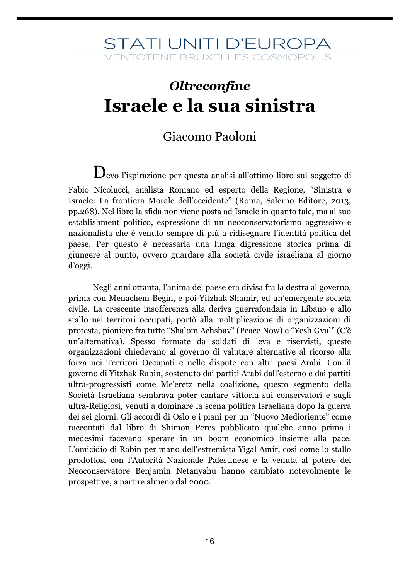### *Oltreconfine* **Israele e la sua sinistra**

#### Giacomo Paoloni

Devo l'ispirazione per questa analisi all'ottimo libro sul soggetto di Fabio Nicolucci, analista Romano ed esperto della Regione, "Sinistra e Israele: La frontiera Morale dell'occidente" (Roma, Salerno Editore, 2013, pp.268). Nel libro la sfida non viene posta ad Israele in quanto tale, ma al suo establishment politico, espressione di un neoconservatorismo aggressivo e nazionalista che è venuto sempre di più a ridisegnare l'identità politica del paese. Per questo è necessaria una lunga digressione storica prima di giungere al punto, ovvero guardare alla società civile israeliana al giorno d'oggi.

Negli anni ottanta, l'anima del paese era divisa fra la destra al governo, prima con Menachem Begin, e poi Yitzhak Shamir, ed un'emergente società civile. La crescente insofferenza alla deriva guerrafondaia in Libano e allo stallo nei territori occupati, portò alla moltiplicazione di organizzazioni di protesta, pioniere fra tutte "Shalom Achshav" (Peace Now) e "Yesh Gvul" (C'è un'alternativa). Spesso formate da soldati di leva e riservisti, queste organizzazioni chiedevano al governo di valutare alternative al ricorso alla forza nei Territori Occupati e nelle dispute con altri paesi Arabi. Con il governo di Yitzhak Rabin, sostenuto dai partiti Arabi dall'esterno e dai partiti ultra-progressisti come Me'eretz nella coalizione, questo segmento della Società Israeliana sembrava poter cantare vittoria sui conservatori e sugli ultra-Religiosi, venuti a dominare la scena politica Israeliana dopo la guerra dei sei giorni. Gli accordi di Oslo e i piani per un "Nuovo Medioriente" come raccontati dal libro di Shimon Peres pubblicato qualche anno prima i medesimi facevano sperare in un boom economico insieme alla pace. L'omicidio di Rabin per mano dell'estremista Yigal Amir, così come lo stallo prodottosi con l'Autorità Nazionale Palestinese e la venuta al potere del Neoconservatore Benjamin Netanyahu hanno cambiato notevolmente le prospettive, a partire almeno dal 2000.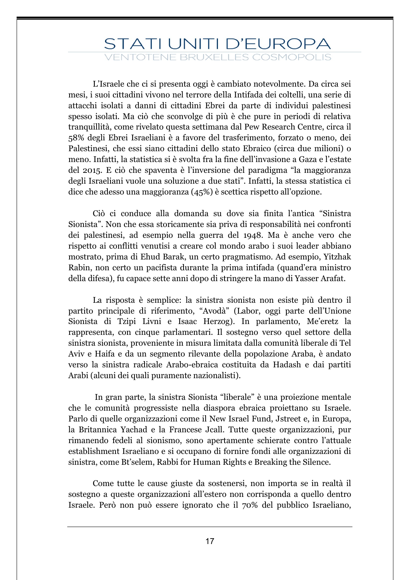L'Israele che ci si presenta oggi è cambiato notevolmente. Da circa sei mesi, i suoi cittadini vivono nel terrore della Intifada dei coltelli, una serie di attacchi isolati a danni di cittadini Ebrei da parte di individui palestinesi spesso isolati. Ma ciò che sconvolge di più è che pure in periodi di relativa tranquillità, come rivelato questa settimana dal Pew Research Centre, circa il 58% degli Ebrei Israeliani è a favore del trasferimento, forzato o meno, dei Palestinesi, che essi siano cittadini dello stato Ebraico (circa due milioni) o meno. Infatti, la statistica si è svolta fra la fine dell'invasione a Gaza e l'estate del 2015. E ciò che spaventa è l'inversione del paradigma "la maggioranza degli Israeliani vuole una soluzione a due stati". Infatti, la stessa statistica ci dice che adesso una maggioranza (45%) è scettica rispetto all'opzione.

Ciò ci conduce alla domanda su dove sia finita l'antica "Sinistra Sionista". Non che essa storicamente sia priva di responsabilità nei confronti dei palestinesi, ad esempio nella guerra del 1948. Ma è anche vero che rispetto ai conflitti venutisi a creare col mondo arabo i suoi leader abbiano mostrato, prima di Ehud Barak, un certo pragmatismo. Ad esempio, Yitzhak Rabin, non certo un pacifista durante la prima intifada (quand'era ministro della difesa), fu capace sette anni dopo di stringere la mano di Yasser Arafat.

La risposta è semplice: la sinistra sionista non esiste più dentro il partito principale di riferimento, "Avodà" (Labor, oggi parte dell'Unione Sionista di Tzipi Livni e Isaac Herzog). In parlamento, Me'eretz la rappresenta, con cinque parlamentari. Il sostegno verso quel settore della sinistra sionista, proveniente in misura limitata dalla comunità liberale di Tel Aviv e Haifa e da un segmento rilevante della popolazione Araba, è andato verso la sinistra radicale Arabo-ebraica costituita da Hadash e dai partiti Arabi (alcuni dei quali puramente nazionalisti).

In gran parte, la sinistra Sionista "liberale" è una proiezione mentale che le comunità progressiste nella diaspora ebraica proiettano su Israele. Parlo di quelle organizzazioni come il New Israel Fund, Jstreet e, in Europa, la Britannica Yachad e la Francese Jcall. Tutte queste organizzazioni, pur rimanendo fedeli al sionismo, sono apertamente schierate contro l'attuale establishment Israeliano e si occupano di fornire fondi alle organizzazioni di sinistra, come Bt'selem, Rabbi for Human Rights e Breaking the Silence.

Come tutte le cause giuste da sostenersi, non importa se in realtà il sostegno a queste organizzazioni all'estero non corrisponda a quello dentro Israele. Però non può essere ignorato che il 70% del pubblico Israeliano,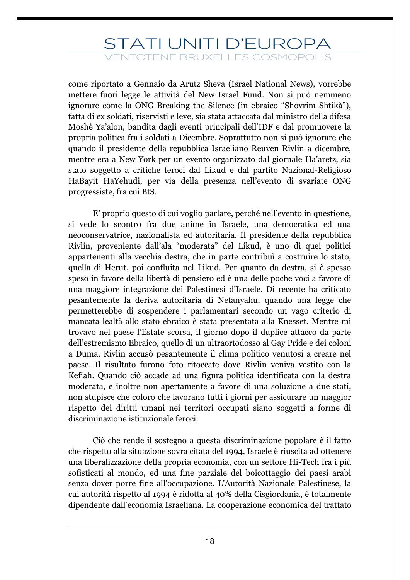### STATI UNITI D'EUROPA

**FNTOTENE BRUXELLES COSMOPOLIS** 

come riportato a Gennaio da Arutz Sheva (Israel National News), vorrebbe mettere fuori legge le attività del New Israel Fund. Non si può nemmeno ignorare come la ONG Breaking the Silence (in ebraico "Shovrim Shtikà"), fatta di ex soldati, riservisti e leve, sia stata attaccata dal ministro della difesa Moshè Ya'alon, bandita dagli eventi principali dell'IDF e dal promuovere la propria politica fra i soldati a Dicembre. Soprattutto non si può ignorare che quando il presidente della repubblica Israeliano Reuven Rivlin a dicembre, mentre era a New York per un evento organizzato dal giornale Ha'aretz, sia stato soggetto a critiche feroci dal Likud e dal partito Nazional-Religioso HaBayit HaYehudi, per via della presenza nell'evento di svariate ONG progressiste, fra cui BtS.

E' proprio questo di cui voglio parlare, perché nell'evento in questione, si vede lo scontro fra due anime in Israele, una democratica ed una neoconservatrice, nazionalista ed autoritaria. Il presidente della repubblica Rivlin, proveniente dall'ala "moderata" del Likud, è uno di quei politici appartenenti alla vecchia destra, che in parte contribuì a costruire lo stato, quella di Herut, poi confluita nel Likud. Per quanto da destra, si è spesso speso in favore della libertà di pensiero ed è una delle poche voci a favore di una maggiore integrazione dei Palestinesi d'Israele. Di recente ha criticato pesantemente la deriva autoritaria di Netanyahu, quando una legge che permetterebbe di sospendere i parlamentari secondo un vago criterio di mancata lealtà allo stato ebraico è stata presentata alla Knesset. Mentre mi trovavo nel paese l'Estate scorsa, il giorno dopo il duplice attacco da parte dell'estremismo Ebraico, quello di un ultraortodosso al Gay Pride e dei coloni a Duma, Rivlin accusò pesantemente il clima politico venutosi a creare nel paese. Il risultato furono foto ritoccate dove Rivlin veniva vestito con la Kefiah. Quando ciò accade ad una figura politica identificata con la destra moderata, e inoltre non apertamente a favore di una soluzione a due stati, non stupisce che coloro che lavorano tutti i giorni per assicurare un maggior rispetto dei diritti umani nei territori occupati siano soggetti a forme di discriminazione istituzionale feroci.

Ciò che rende il sostegno a questa discriminazione popolare è il fatto che rispetto alla situazione sovra citata del 1994, Israele è riuscita ad ottenere una liberalizzazione della propria economia, con un settore Hi-Tech fra i più sofisticati al mondo, ed una fine parziale del boicottaggio dei paesi arabi senza dover porre fine all'occupazione. L'Autorità Nazionale Palestinese, la cui autorità rispetto al 1994 è ridotta al 40% della Cisgiordania, è totalmente dipendente dall'economia Israeliana. La cooperazione economica del trattato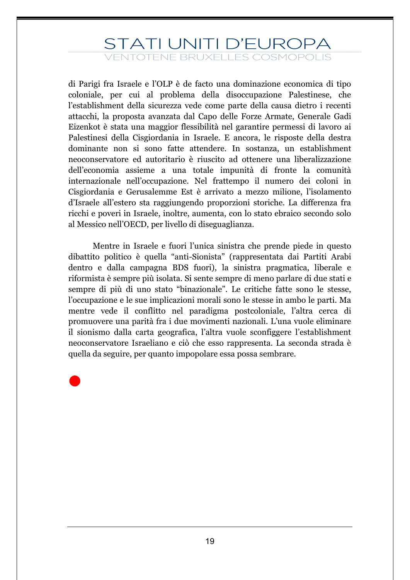di Parigi fra Israele e l'OLP è de facto una dominazione economica di tipo coloniale, per cui al problema della disoccupazione Palestinese, che l'establishment della sicurezza vede come parte della causa dietro i recenti attacchi, la proposta avanzata dal Capo delle Forze Armate, Generale Gadi Eizenkot è stata una maggior flessibilità nel garantire permessi di lavoro ai Palestinesi della Cisgiordania in Israele. E ancora, le risposte della destra dominante non si sono fatte attendere. In sostanza, un establishment neoconservatore ed autoritario è riuscito ad ottenere una liberalizzazione dell'economia assieme a una totale impunità di fronte la comunità internazionale nell'occupazione. Nel frattempo il numero dei coloni in Cisgiordania e Gerusalemme Est è arrivato a mezzo milione, l'isolamento d'Israele all'estero sta raggiungendo proporzioni storiche. La differenza fra ricchi e poveri in Israele, inoltre, aumenta, con lo stato ebraico secondo solo al Messico nell'OECD, per livello di diseguaglianza.

Mentre in Israele e fuori l'unica sinistra che prende piede in questo dibattito politico è quella "anti-Sionista" (rappresentata dai Partiti Arabi dentro e dalla campagna BDS fuori), la sinistra pragmatica, liberale e riformista è sempre più isolata. Si sente sempre di meno parlare di due stati e sempre di più di uno stato "binazionale". Le critiche fatte sono le stesse, l'occupazione e le sue implicazioni morali sono le stesse in ambo le parti. Ma mentre vede il conflitto nel paradigma postcoloniale, l'altra cerca di promuovere una parità fra i due movimenti nazionali. L'una vuole eliminare il sionismo dalla carta geografica, l'altra vuole sconfiggere l'establishment neoconservatore Israeliano e ciò che esso rappresenta. La seconda strada è quella da seguire, per quanto impopolare essa possa sembrare.